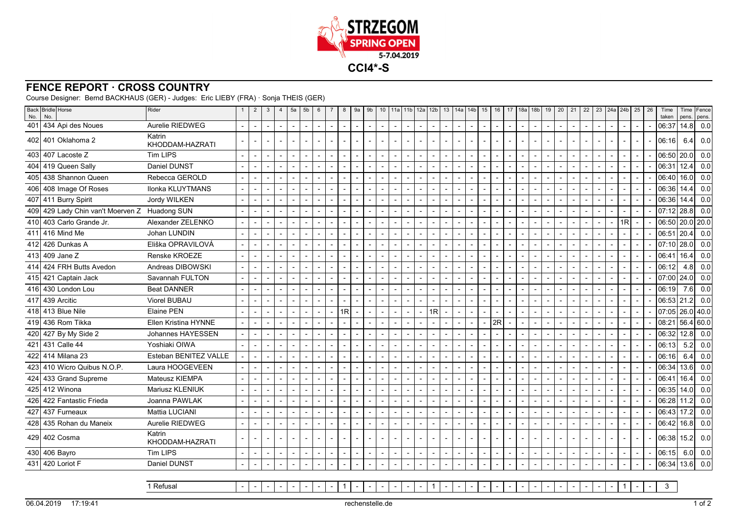

## **FENCE REPORT · CROSS COUNTRY**

Course Designer: Bernd BACKHAUS (GER) - Judges: Eric LIEBY (FRA) · Sonja THEIS (GER)

| No. | Back Bridle Horse<br>No.                      | Rider                     | $\overline{2}$           | 3                        | $\overline{4}$           | 5a                       | 5 <sub>b</sub> | 6      | $\overline{7}$           | 8                        | 9a                       | 9 <sub>b</sub>           | 10 <sup>1</sup> |                          |                          | 11a 11b 12a 12b 13       |    |                | 14a 14b                  |                          | 15                       | 16 | 17 <sup>1</sup>          | 18a 18b                  |                          | 19 | 20             | 21                       | 22                       | 23   24a   24b           |                          | 25                       | 26 | Time<br>taken   | pens. | Time Fence<br>pens. |
|-----|-----------------------------------------------|---------------------------|--------------------------|--------------------------|--------------------------|--------------------------|----------------|--------|--------------------------|--------------------------|--------------------------|--------------------------|-----------------|--------------------------|--------------------------|--------------------------|----|----------------|--------------------------|--------------------------|--------------------------|----|--------------------------|--------------------------|--------------------------|----|----------------|--------------------------|--------------------------|--------------------------|--------------------------|--------------------------|----|-----------------|-------|---------------------|
|     | 401 434 Api des Noues                         | Aurelie RIEDWEG           | $\overline{\phantom{a}}$ | $\blacksquare$           | $\blacksquare$           |                          |                |        | $\overline{\phantom{a}}$ | $\sim$                   | $\blacksquare$           | $\sim$                   |                 | $\sim$                   |                          |                          |    |                | $\sim$                   |                          | $\blacksquare$           |    | $\overline{\phantom{a}}$ | $\overline{\phantom{a}}$ |                          |    | $\blacksquare$ |                          |                          | $\overline{\phantom{a}}$ | $\blacksquare$           |                          |    | 06:37           | 14.8  | 0.0                 |
|     | 402 401 Oklahoma 2                            | Katrin<br>KHODDAM-HAZRATI |                          |                          |                          |                          |                |        |                          |                          |                          |                          |                 | $\blacksquare$           |                          |                          |    |                |                          |                          |                          |    | $\overline{\phantom{a}}$ |                          |                          |    |                |                          |                          |                          |                          |                          |    | 06:16           | 6.4   | 0.0                 |
|     | 403 407 Lacoste Z                             | <b>Tim LIPS</b>           | $\blacksquare$           | ÷,                       | $\overline{\phantom{0}}$ |                          |                |        |                          |                          |                          | $\overline{\phantom{a}}$ |                 | $\overline{\phantom{a}}$ |                          |                          |    |                |                          |                          | $\blacksquare$           |    | $\blacksquare$           |                          |                          |    |                |                          |                          |                          | $\overline{\phantom{0}}$ |                          |    | 06:50           | 20.0  | 0.0                 |
|     | 404 419 Queen Sally                           | Daniel DUNST              | $\overline{a}$           | $\overline{\phantom{a}}$ | $\overline{a}$           |                          |                |        |                          |                          |                          | $\overline{a}$           |                 | $\overline{a}$           |                          |                          |    | $\blacksquare$ |                          |                          | $\overline{\phantom{a}}$ |    | $\overline{a}$           |                          | $\blacksquare$           |    |                |                          |                          |                          |                          |                          |    | 06:31           | 12.4  | 0.0                 |
|     | 405 438 Shannon Queen                         | Rebecca GEROLD            | $\overline{\phantom{a}}$ |                          |                          |                          |                |        |                          |                          |                          |                          |                 | $\sim$                   |                          |                          |    |                |                          |                          |                          |    |                          |                          |                          |    |                |                          |                          |                          |                          |                          |    | 06:40           | 16.0  | 0.0                 |
|     | 406 408 Image Of Roses                        | Ilonka KLUYTMANS          | $\overline{a}$           | $\overline{a}$           | $\blacksquare$           |                          | $\overline{a}$ |        |                          |                          |                          | $\overline{a}$           |                 | $\overline{\phantom{a}}$ |                          | $\blacksquare$           |    |                |                          |                          | $\overline{\phantom{a}}$ |    | $\overline{a}$           | $\sim$                   | $\overline{\phantom{a}}$ |    |                |                          |                          |                          | $\overline{a}$           |                          |    | 06:36           | 14.4  | 0.0                 |
|     | 407 411 Burry Spirit                          | Jordy WILKEN              | $\sim$                   |                          | $\overline{a}$           |                          |                |        |                          |                          |                          |                          |                 | $\overline{a}$           |                          |                          |    |                |                          |                          | $\blacksquare$           |    | $\overline{a}$           |                          |                          |    |                |                          |                          |                          |                          |                          |    | 06:36           | 14.4  | 0.0                 |
|     | 409 429 Lady Chin van't Moerven Z Huadong SUN |                           | $\overline{a}$           |                          | $\blacksquare$           |                          |                |        |                          | $\overline{a}$           |                          | $\overline{a}$           |                 | $\blacksquare$           |                          |                          |    | $\blacksquare$ | $\overline{a}$           |                          | $\overline{\phantom{a}}$ |    | $\blacksquare$           | $\overline{a}$           | $\overline{a}$           |    |                |                          |                          | $\overline{a}$           |                          |                          |    | 07:12           | 28.8  | 0.0                 |
|     | 410 403 Carlo Grande Jr.                      | Alexander ZELENKO         | $\blacksquare$           | $\blacksquare$           | $\overline{\phantom{0}}$ |                          |                |        |                          |                          |                          |                          |                 | $\blacksquare$           |                          |                          |    |                | $\overline{\phantom{a}}$ |                          | $\sim$                   |    | $\blacksquare$           | $\blacksquare$           |                          |    |                |                          |                          | $\overline{\phantom{a}}$ | 1R                       |                          |    | 06:50 20.0 20.0 |       |                     |
|     | 411 416 Mind Me                               | Johan LUNDIN              | $\blacksquare$           |                          | $\blacksquare$           |                          |                |        | L,                       | $\overline{\phantom{a}}$ |                          | $\blacksquare$           |                 | $\overline{\phantom{a}}$ |                          | $\overline{\phantom{a}}$ |    |                | $\overline{\phantom{a}}$ |                          | $\sim$                   |    | $\blacksquare$           | $\blacksquare$           | $\blacksquare$           |    | $\overline{a}$ |                          |                          | $\overline{\phantom{a}}$ | $\overline{\phantom{0}}$ |                          |    | 06:51           | 20.4  | 0.0                 |
|     | 412 426 Dunkas A                              | Eliška OPRAVILOVÁ         | $\blacksquare$           |                          | $\overline{\phantom{a}}$ |                          |                |        |                          | $\sim$                   |                          | $\blacksquare$           |                 | $\overline{a}$           |                          |                          |    | $\blacksquare$ | $\overline{a}$           |                          | $\mathbf{r}$             |    | $\blacksquare$           |                          |                          |    |                |                          |                          |                          |                          |                          |    | 07:10           | 28.0  | 0.0                 |
|     | 413 409 Jane Z                                | Renske KROEZE             | $\overline{a}$           |                          | $\blacksquare$           |                          |                |        |                          | $\overline{a}$           |                          |                          |                 | $\blacksquare$           |                          |                          |    |                |                          |                          | $\overline{\phantom{a}}$ |    | $\overline{\phantom{a}}$ |                          |                          |    |                |                          |                          | $\overline{\phantom{a}}$ |                          |                          |    | 06:41           | 16.4  | 0.0                 |
|     | 414 424 FRH Butts Avedon                      | Andreas DIBOWSKI          | $\blacksquare$           |                          | $\overline{\phantom{a}}$ |                          |                |        |                          |                          |                          |                          |                 | $\sim$                   |                          |                          |    |                |                          |                          | $\overline{\phantom{a}}$ |    | $\sim$                   | $\blacksquare$           |                          |    |                |                          |                          |                          | $\overline{\phantom{0}}$ |                          |    | 06:12           | 4.8   | 0.0                 |
|     | 415 421 Captain Jack                          | Savannah FULTON           | $\overline{a}$           |                          |                          |                          |                |        |                          |                          |                          | $\overline{\phantom{a}}$ |                 | $\blacksquare$           |                          |                          |    |                |                          |                          | $\overline{\phantom{a}}$ |    | $\overline{a}$           |                          |                          |    |                |                          |                          |                          |                          |                          |    | 07:00           | 24.0  | 0.0                 |
|     | 416 430 London Lou                            | <b>Beat DANNER</b>        |                          |                          |                          |                          |                |        |                          |                          |                          |                          |                 |                          |                          |                          |    |                |                          |                          | $\overline{\phantom{a}}$ |    |                          |                          |                          |    |                |                          |                          |                          |                          |                          |    | 06:19           | 7.6   | 0.0                 |
|     | 417 439 Arcitic                               | Viorel BUBAU              |                          |                          |                          |                          |                |        |                          |                          |                          |                          |                 | $\blacksquare$           |                          |                          |    |                |                          |                          |                          |    | $\blacksquare$           |                          |                          |    |                |                          |                          |                          |                          |                          |    | 06:53           | 21.2  | 0.0                 |
|     | 418 413 Blue Nile                             | <b>Elaine PEN</b>         | $\overline{a}$           | $\overline{\phantom{a}}$ | $\overline{\phantom{a}}$ |                          |                |        |                          | 1R                       |                          | $\overline{\phantom{a}}$ |                 | $\overline{a}$           |                          | $\blacksquare$           | 1R |                |                          |                          |                          |    | $\overline{a}$           | $\overline{\phantom{a}}$ | $\blacksquare$           |    |                |                          |                          |                          |                          |                          |    | 07:05           |       | 26.0   40.0         |
|     | 419 436 Rom Tikka                             | Ellen Kristina HYNNE      |                          |                          | $\overline{\phantom{0}}$ |                          |                |        |                          |                          |                          |                          |                 | $\blacksquare$           |                          |                          |    |                |                          |                          |                          | 2R |                          |                          |                          |    |                |                          |                          |                          |                          |                          |    | 08:21           |       | 56.4 60.0           |
|     | 420 427 By My Side 2                          | Johannes HAYESSEN         | $\overline{a}$           | $\overline{a}$           | $\overline{a}$           |                          |                |        |                          |                          |                          | $\overline{a}$           |                 | $\overline{a}$           |                          |                          |    | $\blacksquare$ |                          |                          | $\overline{\phantom{a}}$ |    | $\overline{a}$           | $\overline{a}$           | $\overline{\phantom{a}}$ |    |                |                          |                          |                          |                          |                          |    | 06:32           | 12.8  | 0.0                 |
|     | 421 431 Calle 44                              | Yoshiaki OIWA             | $\blacksquare$           |                          | $\overline{\phantom{0}}$ |                          |                |        |                          |                          |                          |                          |                 | $\blacksquare$           |                          |                          |    |                | $\blacksquare$           |                          | $\overline{\phantom{a}}$ |    | $\blacksquare$           | $\overline{\phantom{a}}$ |                          |    |                |                          |                          |                          |                          |                          |    | 06:13           | 5.2   | 0.0                 |
|     | 422 414 Milana 23                             | Esteban BENITEZ VALLE     | $\overline{a}$           | $\overline{a}$           | $\overline{a}$           | $\overline{\phantom{a}}$ | $\overline{a}$ | $\sim$ | $\overline{a}$           | $\overline{a}$           | $\overline{\phantom{a}}$ | $\overline{\phantom{a}}$ |                 | $\blacksquare$           |                          | $\blacksquare$           |    | $\blacksquare$ | $\overline{a}$           | $\overline{\phantom{a}}$ | $\overline{\phantom{a}}$ |    | $\overline{a}$           | $\sim$                   | $\overline{\phantom{a}}$ |    | $\overline{a}$ |                          | $\overline{\phantom{a}}$ | $\overline{\phantom{a}}$ | $\overline{a}$           | $\overline{\phantom{a}}$ |    | 06:16           | 6.4   | 0.0                 |
|     | 423 410 Wicro Quibus N.O.P.                   | Laura HOOGEVEEN           | $\blacksquare$           |                          |                          |                          |                |        |                          |                          |                          |                          |                 |                          |                          |                          |    |                |                          |                          | $\overline{\phantom{a}}$ |    |                          |                          |                          |    |                |                          |                          |                          |                          |                          |    | 06:34           | 13.6  | 0.0                 |
|     | 424 433 Grand Supreme                         | Mateusz KIEMPA            | $\overline{a}$           | $\overline{\phantom{a}}$ | $\blacksquare$           |                          |                |        |                          | $\overline{a}$           |                          | $\overline{a}$           |                 | $\blacksquare$           |                          |                          |    | $\overline{a}$ | $\overline{a}$           |                          | $\overline{\phantom{a}}$ |    | $\blacksquare$           | $\blacksquare$           | $\overline{\phantom{a}}$ |    |                | $\overline{\phantom{a}}$ |                          | $\overline{\phantom{a}}$ |                          | $\overline{\phantom{a}}$ |    | 06:41           | 16.4  | 0.0                 |
|     | 425 412 Winona                                | <b>Mariusz KLENIUK</b>    | $\blacksquare$           |                          | $\overline{\phantom{0}}$ |                          |                |        |                          |                          |                          | $\blacksquare$           |                 | $\sim$                   |                          |                          |    |                | $\sim$                   |                          | $\overline{\phantom{a}}$ |    | $\sim$                   | $\overline{\phantom{a}}$ | $\blacksquare$           |    |                |                          |                          |                          | $\overline{\phantom{0}}$ |                          |    | 06:35           | 14.0  | 0.0                 |
|     | 426 422 Fantastic Frieda                      | Joanna PAWLAK             | $\overline{\phantom{a}}$ | $\overline{\phantom{a}}$ | $\blacksquare$           |                          |                |        |                          | $\sim$                   |                          | $\overline{a}$           |                 | $\sim$                   |                          |                          |    |                | $\overline{a}$           |                          | $\overline{\phantom{a}}$ |    | $\overline{a}$           |                          | $\overline{a}$           |    |                |                          |                          | $\overline{\phantom{a}}$ | $\overline{\phantom{0}}$ |                          |    | 06:28           | 11.2  | 0.0                 |
|     | 427 437 Furneaux                              | Mattia LUCIANI            | $\blacksquare$           |                          | $\blacksquare$           |                          |                |        |                          |                          |                          | $\blacksquare$           |                 | $\blacksquare$           |                          |                          |    | $\blacksquare$ |                          |                          | $\overline{\phantom{a}}$ |    | $\blacksquare$           |                          |                          |    |                |                          |                          |                          |                          |                          |    | 06:43           | 17.2  | 0.0                 |
|     | 428 435 Rohan du Maneix                       | Aurelie RIEDWEG           | $\blacksquare$           |                          | $\overline{\phantom{a}}$ |                          |                |        |                          | $\sim$                   |                          | $\blacksquare$           |                 | $\blacksquare$           |                          |                          |    |                | $\sim$                   |                          | $\mathbf{r}$             |    | $\blacksquare$           |                          |                          |    |                |                          |                          | $\overline{a}$           |                          |                          |    | 06:42           | 16.8  | 0.0                 |
|     | 429 402 Cosma                                 | Katrin<br>KHODDAM-HAZRATI |                          |                          | $\overline{\phantom{a}}$ |                          |                |        |                          | $\sim$                   |                          | $\sim$                   |                 | $\blacksquare$           | $\overline{\phantom{a}}$ |                          |    |                | $\sim$                   | $\blacksquare$           | $\sim$                   |    | $\mathbf{r}$             | $\blacksquare$           | $\blacksquare$           |    |                |                          |                          | $\overline{\phantom{a}}$ |                          |                          |    | 06:38           | 15.2  | 0.0                 |
|     | 430 406 Bayro                                 | <b>Tim LIPS</b>           | $\overline{\phantom{a}}$ |                          | $\blacksquare$           |                          |                |        |                          |                          |                          |                          |                 | $\overline{\phantom{a}}$ |                          |                          |    |                |                          |                          | $\overline{\phantom{a}}$ |    |                          |                          |                          |    |                |                          |                          |                          | $\blacksquare$           |                          |    | 06:15           | 6.0   | 0.0                 |
|     | 431 420 Loriot F                              | Daniel DUNST              |                          |                          |                          |                          |                |        |                          |                          |                          |                          |                 |                          |                          |                          |    |                |                          |                          |                          |    |                          |                          |                          |    |                |                          |                          |                          |                          |                          |    | 06:34           | 13.6  | 0.0                 |

1 Refusal -- | - | - | - | - | - | - | - | 1 - - - - - - <sup>1</sup> - - - - - - - - - - - - - - <sup>1</sup> - - <sup>3</sup>